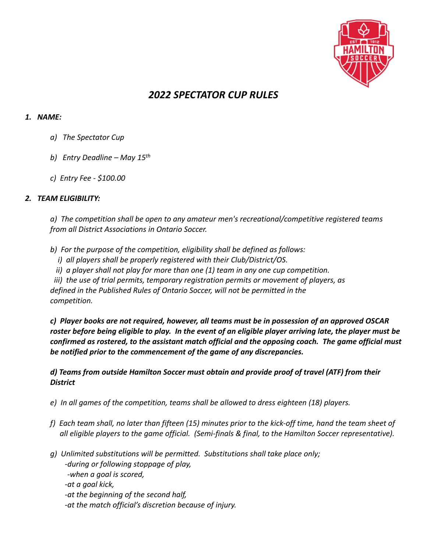

# *2022 SPECTATOR CUP RULES*

## *1. NAME:*

- *a) The Spectator Cup*
- *b) Entry Deadline – May 15th*
- *c) Entry Fee - \$100.00*

# *2. TEAM ELIGIBILITY:*

*a) The competition shall be open to any amateur men's recreational/competitive registered teams from all District Associations in Ontario Soccer.*

- *b) For the purpose of the competition, eligibility shall be defined as follows:*
	- *i) all players shall be properly registered with their Club/District/OS.*
	- *ii) a player shall not play for more than one (1) team in any one cup competition.*

 *iii) the use of trial permits, temporary registration permits or movement of players, as* 

*defined in the Published Rules of Ontario Soccer, will not be permitted in the competition.*

*c) Player books are not required, however, all teams must be in possession of an approved OSCAR roster before being eligible to play. In the event of an eligible player arriving late, the player must be confirmed as rostered, to the assistant match official and the opposing coach. The game official must be notified prior to the commencement of the game of any discrepancies.*

# *d) Teams from outside Hamilton Soccer must obtain and provide proof of travel (ATF) from their District*

- *e) In all games of the competition, teams shall be allowed to dress eighteen (18) players.*
- *f) Each team shall, no later than fifteen (15) minutes prior to the kick-off time, hand the team sheet of all eligible players to the game official. (Semi-finals & final, to the Hamilton Soccer representative).*
- *g) Unlimited substitutions will be permitted. Substitutions shall take place only; -during or following stoppage of play, -when a goal is scored, -at a goal kick, -at the beginning of the second half,*
	- *-at the match official's discretion because of injury.*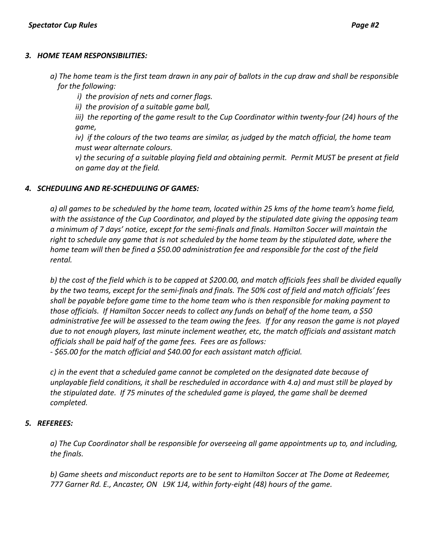#### *3. HOME TEAM RESPONSIBILITIES:*

- *a) The home team is the first team drawn in any pair of ballots in the cup draw and shall be responsible for the following:*
	- *i) the provision of nets and corner flags.*
	- *ii) the provision of a suitable game ball,*

 *iii) the reporting of the game result to the Cup Coordinator within twenty-four (24) hours of the game,*

*iv) if the colours of the two teams are similar, as judged by the match official, the home team must wear alternate colours.*

*v) the securing of a suitable playing field and obtaining permit. Permit MUST be present at field on game day at the field.*

#### *4. SCHEDULING AND RE-SCHEDULING OF GAMES:*

*a) all games to be scheduled by the home team, located within 25 kms of the home team's home field, with the assistance of the Cup Coordinator, and played by the stipulated date giving the opposing team a minimum of 7 days' notice, except for the semi-finals and finals. Hamilton Soccer will maintain the right to schedule any game that is not scheduled by the home team by the stipulated date, where the home team will then be fined a \$50.00 administration fee and responsible for the cost of the field rental.* 

*b) the cost of the field which is to be capped at \$200.00, and match officials fees shall be divided equally by the two teams, except for the semi-finals and finals. The 50% cost of field and match officials' fees shall be payable before game time to the home team who is then responsible for making payment to those officials. If Hamilton Soccer needs to collect any funds on behalf of the home team, a \$50 administrative fee will be assessed to the team owing the fees. If for any reason the game is not played due to not enough players, last minute inclement weather, etc, the match officials and assistant match officials shall be paid half of the game fees. Fees are as follows:*

*- \$65.00 for the match official and \$40.00 for each assistant match official.*

*c) in the event that a scheduled game cannot be completed on the designated date because of unplayable field conditions, it shall be rescheduled in accordance with 4.a) and must still be played by the stipulated date. If 75 minutes of the scheduled game is played, the game shall be deemed completed.*

## *5. REFEREES:*

*a) The Cup Coordinator shall be responsible for overseeing all game appointments up to, and including, the finals.*

*b) Game sheets and misconduct reports are to be sent to Hamilton Soccer at The Dome at Redeemer, 777 Garner Rd. E., Ancaster, ON L9K 1J4, within forty-eight (48) hours of the game.*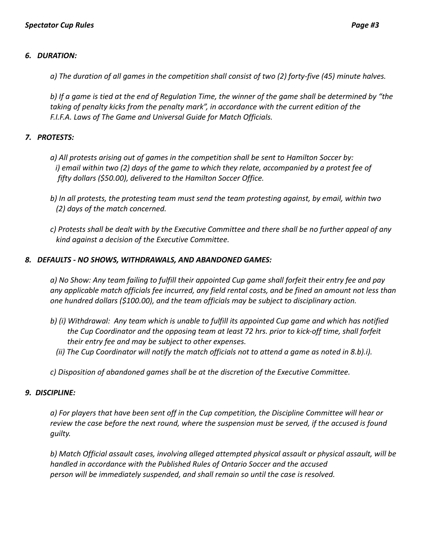## *6. DURATION:*

*a) The duration of all games in the competition shall consist of two (2) forty-five (45) minute halves.* 

*b) If a game is tied at the end of Regulation Time, the winner of the game shall be determined by "the taking of penalty kicks from the penalty mark", in accordance with the current edition of the F.I.F.A. Laws of The Game and Universal Guide for Match Officials.* 

# *7. PROTESTS:*

- *a) All protests arising out of games in the competition shall be sent to Hamilton Soccer by: i) email within two (2) days of the game to which they relate, accompanied by a protest fee of fifty dollars (\$50.00), delivered to the Hamilton Soccer Office.*
- *b) In all protests, the protesting team must send the team protesting against, by email, within two (2) days of the match concerned.*
- *c) Protests shall be dealt with by the Executive Committee and there shall be no further appeal of any kind against a decision of the Executive Committee.*

#### *8. DEFAULTS - NO SHOWS, WITHDRAWALS, AND ABANDONED GAMES:*

*a) No Show: Any team failing to fulfill their appointed Cup game shall forfeit their entry fee and pay any applicable match officials fee incurred, any field rental costs, and be fined an amount not less than one hundred dollars (\$100.00), and the team officials may be subject to disciplinary action.*

- *b) (i) Withdrawal: Any team which is unable to fulfill its appointed Cup game and which has notified the Cup Coordinator and the opposing team at least 72 hrs. prior to kick-off time, shall forfeit their entry fee and may be subject to other expenses.*
	- *(ii) The Cup Coordinator will notify the match officials not to attend a game as noted in 8.b).i).*
- *c) Disposition of abandoned games shall be at the discretion of the Executive Committee.*

## *9. DISCIPLINE:*

*a) For players that have been sent off in the Cup competition, the Discipline Committee will hear or review the case before the next round, where the suspension must be served, if the accused is found guilty.*

*b) Match Official assault cases, involving alleged attempted physical assault or physical assault, will be handled in accordance with the Published Rules of Ontario Soccer and the accused person will be immediately suspended, and shall remain so until the case is resolved.*